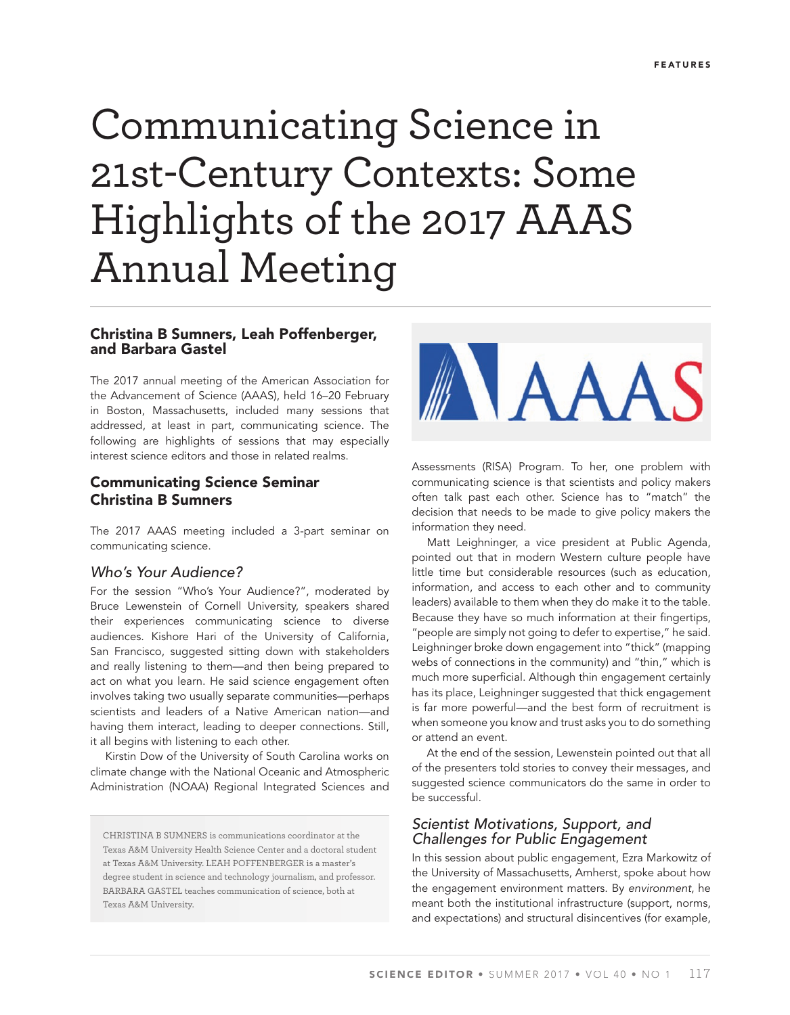# Communicating Science in 21st-Century Contexts: Some Highlights of the 2017 AAAS Annual Meeting

### **Christina B Sumners, Leah Poffenberger, and Barbara Gastel**

The 2017 annual meeting of the American Association for the Advancement of Science (AAAS), held 16–20 February in Boston, Massachusetts, included many sessions that addressed, at least in part, communicating science. The following are highlights of sessions that may especially interest science editors and those in related realms.

## **Communicating Science Seminar Christina B Sumners**

The 2017 AAAS meeting included a 3-part seminar on communicating science.

#### Who's Your Audience?

For the session "Who's Your Audience?", moderated by Bruce Lewenstein of Cornell University, speakers shared their experiences communicating science to diverse audiences. Kishore Hari of the University of California, San Francisco, suggested sitting down with stakeholders and really listening to them—and then being prepared to act on what you learn. He said science engagement often involves taking two usually separate communities—perhaps scientists and leaders of a Native American nation—and having them interact, leading to deeper connections. Still, it all begins with listening to each other.

Kirstin Dow of the University of South Carolina works on climate change with the National Oceanic and Atmospheric Administration (NOAA) Regional Integrated Sciences and

CHRISTINA B SUMNERS is communications coordinator at the Texas A&M University Health Science Center and a doctoral student at Texas A&M University. LEAH POFFENBERGER is a master's degree student in science and technology journalism, and professor. BARBARA GASTEL teaches communication of science, both at Texas A&M University.



Assessments (RISA) Program. To her, one problem with communicating science is that scientists and policy makers often talk past each other. Science has to "match" the decision that needs to be made to give policy makers the information they need.

Matt Leighninger, a vice president at Public Agenda, pointed out that in modern Western culture people have little time but considerable resources (such as education, information, and access to each other and to community leaders) available to them when they do make it to the table. Because they have so much information at their fingertips, "people are simply not going to defer to expertise," he said. Leighninger broke down engagement into "thick" (mapping webs of connections in the community) and "thin," which is much more superficial. Although thin engagement certainly has its place, Leighninger suggested that thick engagement is far more powerful—and the best form of recruitment is when someone you know and trust asks you to do something or attend an event.

At the end of the session, Lewenstein pointed out that all of the presenters told stories to convey their messages, and suggested science communicators do the same in order to be successful.

## Scientist Motivations, Support, and Challenges for Public Engagement

In this session about public engagement, Ezra Markowitz of the University of Massachusetts, Amherst, spoke about how the engagement environment matters. By environment, he meant both the institutional infrastructure (support, norms, and expectations) and structural disincentives (for example,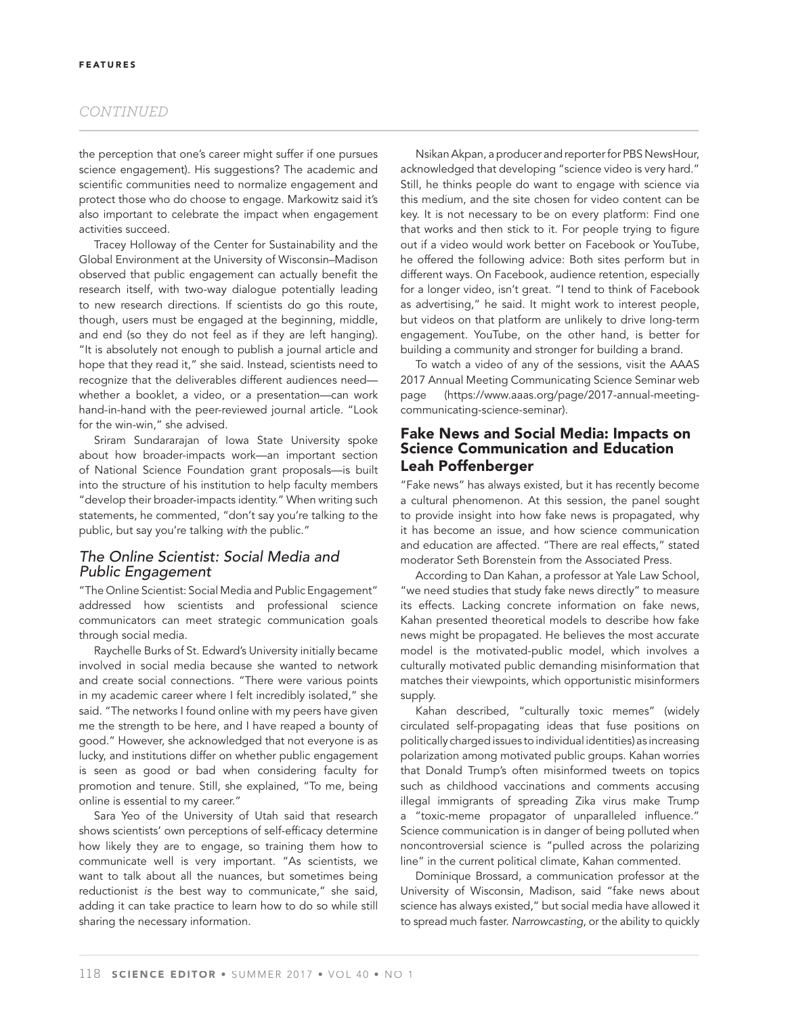#### *CONTINUED*

the perception that one's career might suffer if one pursues science engagement). His suggestions? The academic and scientific communities need to normalize engagement and protect those who do choose to engage. Markowitz said it's also important to celebrate the impact when engagement activities succeed.

Tracey Holloway of the Center for Sustainability and the Global Environment at the University of Wisconsin–Madison observed that public engagement can actually benefit the research itself, with two-way dialogue potentially leading to new research directions. If scientists do go this route, though, users must be engaged at the beginning, middle, and end (so they do not feel as if they are left hanging). "It is absolutely not enough to publish a journal article and hope that they read it," she said. Instead, scientists need to recognize that the deliverables different audiences need whether a booklet, a video, or a presentation—can work hand-in-hand with the peer-reviewed journal article. "Look for the win-win," she advised.

Sriram Sundararajan of Iowa State University spoke about how broader-impacts work—an important section of National Science Foundation grant proposals—is built into the structure of his institution to help faculty members "develop their broader-impacts identity." When writing such statements, he commented, "don't say you're talking to the public, but say you're talking with the public."

## The Online Scientist: Social Media and Public Engagement

"The Online Scientist: Social Media and Public Engagement" addressed how scientists and professional science communicators can meet strategic communication goals through social media.

Raychelle Burks of St. Edward's University initially became involved in social media because she wanted to network and create social connections. "There were various points in my academic career where I felt incredibly isolated," she said. "The networks I found online with my peers have given me the strength to be here, and I have reaped a bounty of good." However, she acknowledged that not everyone is as lucky, and institutions differ on whether public engagement is seen as good or bad when considering faculty for promotion and tenure. Still, she explained, "To me, being online is essential to my career."

Sara Yeo of the University of Utah said that research shows scientists' own perceptions of self-efficacy determine how likely they are to engage, so training them how to communicate well is very important. "As scientists, we want to talk about all the nuances, but sometimes being reductionist is the best way to communicate," she said, adding it can take practice to learn how to do so while still sharing the necessary information.

Nsikan Akpan, a producer and reporter for PBS NewsHour, acknowledged that developing "science video is very hard." Still, he thinks people do want to engage with science via this medium, and the site chosen for video content can be key. It is not necessary to be on every platform: Find one that works and then stick to it. For people trying to figure out if a video would work better on Facebook or YouTube, he offered the following advice: Both sites perform but in different ways. On Facebook, audience retention, especially for a longer video, isn't great. "I tend to think of Facebook as advertising," he said. It might work to interest people, but videos on that platform are unlikely to drive long-term engagement. YouTube, on the other hand, is better for building a community and stronger for building a brand.

To watch a video of any of the sessions, visit the AAAS 2017 Annual Meeting Communicating Science Seminar web page (https://www.aaas.org/page/2017-annual-meetingcommunicating-science-seminar).

## **Fake News and Social Media: Impacts on Science Communication and Education Leah Poffenberger**

"Fake news" has always existed, but it has recently become a cultural phenomenon. At this session, the panel sought to provide insight into how fake news is propagated, why it has become an issue, and how science communication and education are affected. "There are real effects," stated moderator Seth Borenstein from the Associated Press.

According to Dan Kahan, a professor at Yale Law School, "we need studies that study fake news directly" to measure its effects. Lacking concrete information on fake news, Kahan presented theoretical models to describe how fake news might be propagated. He believes the most accurate model is the motivated-public model, which involves a culturally motivated public demanding misinformation that matches their viewpoints, which opportunistic misinformers supply.

Kahan described, "culturally toxic memes" (widely circulated self-propagating ideas that fuse positions on politically charged issues to individual identities) as increasing polarization among motivated public groups. Kahan worries that Donald Trump's often misinformed tweets on topics such as childhood vaccinations and comments accusing illegal immigrants of spreading Zika virus make Trump a "toxic-meme propagator of unparalleled influence." Science communication is in danger of being polluted when noncontroversial science is "pulled across the polarizing line" in the current political climate, Kahan commented.

Dominique Brossard, a communication professor at the University of Wisconsin, Madison, said "fake news about science has always existed," but social media have allowed it to spread much faster. Narrowcasting, or the ability to quickly